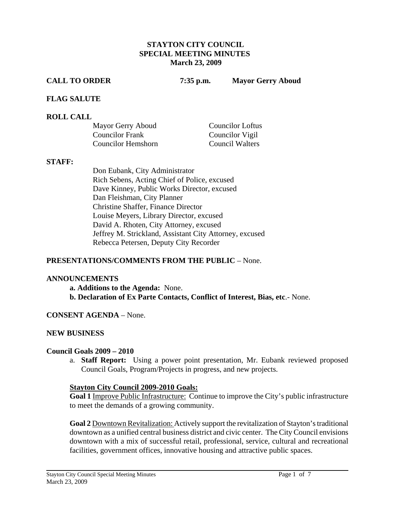#### **STAYTON CITY COUNCIL SPECIAL MEETING MINUTES March 23, 2009**

**CALL TO ORDER 7:35 p.m. Mayor Gerry Aboud** 

#### **FLAG SALUTE**

#### **ROLL CALL**

| Mayor Gerry Aboud      | <b>Councilor Loftus</b> |
|------------------------|-------------------------|
| <b>Councilor Frank</b> | Councilor Vigil         |
| Councilor Hemshorn     | Council Walters         |

#### **STAFF:**

Don Eubank, City Administrator Rich Sebens, Acting Chief of Police, excused Dave Kinney, Public Works Director, excused Dan Fleishman, City Planner Christine Shaffer, Finance Director Louise Meyers, Library Director, excused David A. Rhoten, City Attorney, excused Jeffrey M. Strickland, Assistant City Attorney, excused Rebecca Petersen, Deputy City Recorder

## **PRESENTATIONS/COMMENTS FROM THE PUBLIC** – None.

#### **ANNOUNCEMENTS**

**a. Additions to the Agenda:** None. **b. Declaration of Ex Parte Contacts, Conflict of Interest, Bias, etc**.- None.

## **CONSENT AGENDA** – None.

## **NEW BUSINESS**

#### **Council Goals 2009 – 2010**

a. **Staff Report:** Using a power point presentation, Mr. Eubank reviewed proposed Council Goals, Program/Projects in progress, and new projects.

#### **Stayton City Council 2009-2010 Goals:**

**Goal 1** Improve Public Infrastructure: Continue to improve the City's public infrastructure to meet the demands of a growing community.

**Goal 2** Downtown Revitalization: Actively support the revitalization of Stayton's traditional downtown as a unified central business district and civic center. The City Council envisions downtown with a mix of successful retail, professional, service, cultural and recreational facilities, government offices, innovative housing and attractive public spaces.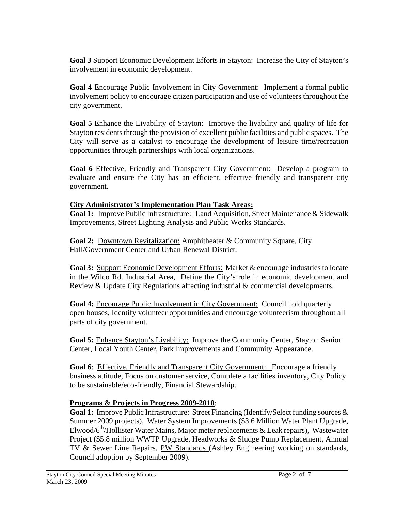**Goal 3** Support Economic Development Efforts in Stayton: Increase the City of Stayton's involvement in economic development.

**Goal 4** Encourage Public Involvement in City Government: Implement a formal public involvement policy to encourage citizen participation and use of volunteers throughout the city government.

**Goal 5** Enhance the Livability of Stayton: Improve the livability and quality of life for Stayton residents through the provision of excellent public facilities and public spaces. The City will serve as a catalyst to encourage the development of leisure time/recreation opportunities through partnerships with local organizations.

**Goal 6** Effective, Friendly and Transparent City Government: Develop a program to evaluate and ensure the City has an efficient, effective friendly and transparent city government.

# **City Administrator's Implementation Plan Task Areas:**

**Goal 1:** Improve Public Infrastructure: Land Acquisition, Street Maintenance & Sidewalk Improvements, Street Lighting Analysis and Public Works Standards.

**Goal 2:** Downtown Revitalization: Amphitheater & Community Square, City Hall/Government Center and Urban Renewal District.

**Goal 3:** Support Economic Development Efforts: Market & encourage industries to locate in the Wilco Rd. Industrial Area, Define the City's role in economic development and Review & Update City Regulations affecting industrial & commercial developments.

**Goal 4:** Encourage Public Involvement in City Government: Council hold quarterly open houses, Identify volunteer opportunities and encourage volunteerism throughout all parts of city government.

**Goal 5:** Enhance Stayton's Livability: Improve the Community Center, Stayton Senior Center, Local Youth Center, Park Improvements and Community Appearance.

**Goal 6**: Effective, Friendly and Transparent City Government: Encourage a friendly business attitude, Focus on customer service, Complete a facilities inventory, City Policy to be sustainable/eco-friendly, Financial Stewardship.

# **Programs & Projects in Progress 2009-2010**:

Goal 1: Improve Public Infrastructure: Street Financing (Identify/Select funding sources & Summer 2009 projects), Water System Improvements (\$3.6 Million Water Plant Upgrade, Elwood/ $6<sup>th</sup>/H$ ollister Water Mains, Major meter replacements & Leak repairs), Wastewater Project (\$5.8 million WWTP Upgrade, Headworks & Sludge Pump Replacement, Annual TV & Sewer Line Repairs, PW Standards (Ashley Engineering working on standards, Council adoption by September 2009).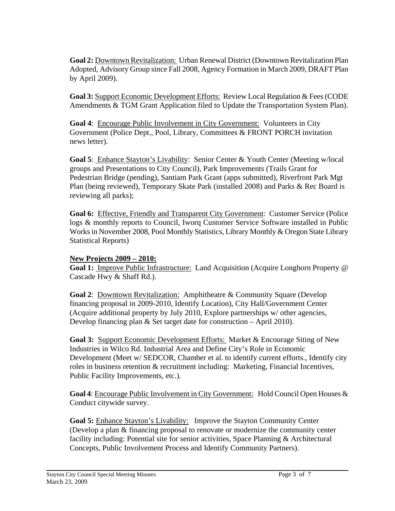**Goal 2:** Downtown Revitalization: Urban Renewal District (Downtown Revitalization Plan Adopted, Advisory Group since Fall 2008, Agency Formation in March 2009, DRAFT Plan by April 2009).

**Goal 3:** Support Economic Development Efforts:Review Local Regulation & Fees (CODE Amendments & TGM Grant Application filed to Update the Transportation System Plan).

**Goal 4:** Encourage Public Involvement in City Government: Volunteers in City Government (Police Dept., Pool, Library, Committees & FRONT PORCH invitation news letter).

**Goal 5**: Enhance Stayton's Livability: Senior Center & Youth Center (Meeting w/local groups and Presentations to City Council), Park Improvements (Trails Grant for Pedestrian Bridge (pending), Santiam Park Grant (apps submitted), Riverfront Park Mgt Plan (being reviewed), Temporary Skate Park (installed 2008) and Parks & Rec Board is reviewing all parks);

**Goal 6:** Effective, Friendly and Transparent City Government: Customer Service (Police logs & monthly reports to Council, Iworq Customer Service Software installed in Public Works in November 2008, Pool Monthly Statistics, Library Monthly & Oregon State Library Statistical Reports)

## **New Projects 2009 – 2010:**

**Goal 1:** Improve Public Infrastructure: Land Acquisition (Acquire Longhorn Property @ Cascade Hwy & Shaff Rd.).

**Goal 2**: Downtown Revitalization: Amphitheatre & Community Square (Develop financing proposal in 2009-2010, Identify Location), City Hall/Government Center (Acquire additional property by July 2010, Explore partnerships w/ other agencies, Develop financing plan & Set target date for construction – April 2010).

**Goal 3:** Support Economic Development Efforts: Market & Encourage Siting of New Industries in Wilco Rd. Industrial Area and Define City's Role in Economic Development (Meet w/ SEDCOR, Chamber et al. to identify current efforts., Identify city roles in business retention & recruitment including: Marketing, Financial Incentives, Public Facility Improvements, etc.).

**Goal 4**: Encourage Public Involvement in City Government: Hold Council Open Houses & Conduct citywide survey.

**Goal 5:** Enhance Stayton's Livability: Improve the Stayton Community Center (Develop a plan & financing proposal to renovate or modernize the community center facility including: Potential site for senior activities, Space Planning & Architectural Concepts, Public Involvement Process and Identify Community Partners).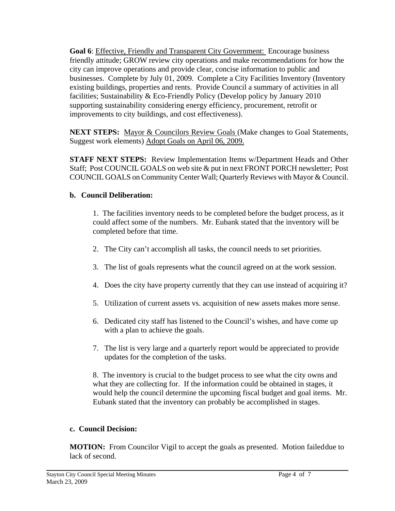Goal 6: Effective, Friendly and Transparent City Government: Encourage business friendly attitude; GROW review city operations and make recommendations for how the city can improve operations and provide clear, concise information to public and businesses. Complete by July 01, 2009. Complete a City Facilities Inventory (Inventory existing buildings, properties and rents. Provide Council a summary of activities in all facilities; Sustainability & Eco-Friendly Policy (Develop policy by January 2010 supporting sustainability considering energy efficiency, procurement, retrofit or improvements to city buildings, and cost effectiveness).

**NEXT STEPS:** Mayor & Councilors Review Goals (Make changes to Goal Statements, Suggest work elements) Adopt Goals on April 06, 2009.

**STAFF NEXT STEPS:** Review Implementation Items w/Department Heads and Other Staff; Post COUNCIL GOALS on web site & put in next FRONT PORCH newsletter; Post COUNCIL GOALS on Community Center Wall; Quarterly Reviews with Mayor & Council.

# **b. Council Deliberation:**

1. The facilities inventory needs to be completed before the budget process, as it could affect some of the numbers. Mr. Eubank stated that the inventory will be completed before that time.

- 2. The City can't accomplish all tasks, the council needs to set priorities.
- 3. The list of goals represents what the council agreed on at the work session.
- 4. Does the city have property currently that they can use instead of acquiring it?
- 5. Utilization of current assets vs. acquisition of new assets makes more sense.
- 6. Dedicated city staff has listened to the Council's wishes, and have come up with a plan to achieve the goals.
- 7. The list is very large and a quarterly report would be appreciated to provide updates for the completion of the tasks.

 8. The inventory is crucial to the budget process to see what the city owns and what they are collecting for. If the information could be obtained in stages, it would help the council determine the upcoming fiscal budget and goal items. Mr. Eubank stated that the inventory can probably be accomplished in stages.

# **c. Council Decision:**

**MOTION:** From Councilor Vigil to accept the goals as presented. Motion failed due to lack of second.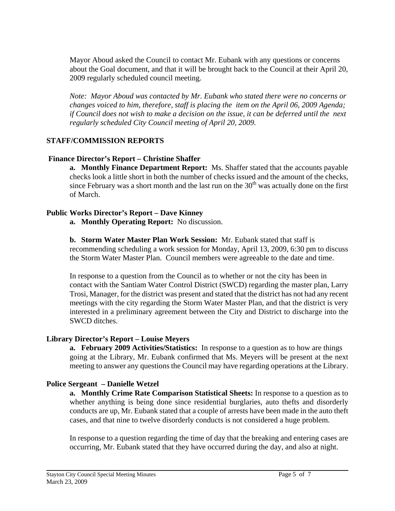Mayor Aboud asked the Council to contact Mr. Eubank with any questions or concerns about the Goal document, and that it will be brought back to the Council at their April 20, 2009 regularly scheduled council meeting.

*Note: Mayor Aboud was contacted by Mr. Eubank who stated there were no concerns or changes voiced to him, therefore, staff is placing the item on the April 06, 2009 Agenda; if Council does not wish to make a decision on the issue, it can be deferred until the next regularly scheduled City Council meeting of April 20, 2009.* 

## **STAFF/COMMISSION REPORTS**

## **Finance Director's Report – Christine Shaffer**

**a. Monthly Finance Department Report:** Ms. Shaffer stated that the accounts payable checks look a little short in both the number of checks issued and the amount of the checks, since February was a short month and the last run on the  $30<sup>th</sup>$  was actually done on the first of March.

## **Public Works Director's Report – Dave Kinney**

**a. Monthly Operating Report:** No discussion.

**b. Storm Water Master Plan Work Session:** Mr. Eubank stated that staff is recommending scheduling a work session for Monday, April 13, 2009, 6:30 pm to discuss the Storm Water Master Plan. Council members were agreeable to the date and time.

In response to a question from the Council as to whether or not the city has been in contact with the Santiam Water Control District (SWCD) regarding the master plan, Larry Trosi, Manager, for the district was present and stated that the district has not had any recent meetings with the city regarding the Storm Water Master Plan, and that the district is very interested in a preliminary agreement between the City and District to discharge into the SWCD ditches.

## **Library Director's Report – Louise Meyers**

**a. February 2009 Activities/Statistics:** In response to a question as to how are things going at the Library, Mr. Eubank confirmed that Ms. Meyers will be present at the next meeting to answer any questions the Council may have regarding operations at the Library.

## **Police Sergeant – Danielle Wetzel**

**a. Monthly Crime Rate Comparison Statistical Sheets:** In response to a question as to whether anything is being done since residential burglaries, auto thefts and disorderly conducts are up, Mr. Eubank stated that a couple of arrests have been made in the auto theft cases, and that nine to twelve disorderly conducts is not considered a huge problem.

In response to a question regarding the time of day that the breaking and entering cases are occurring, Mr. Eubank stated that they have occurred during the day, and also at night.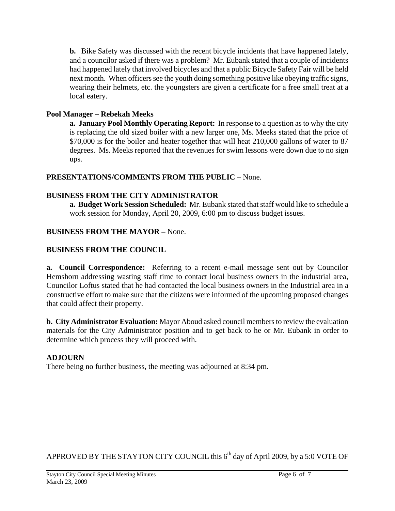**b.** Bike Safety was discussed with the recent bicycle incidents that have happened lately, and a councilor asked if there was a problem? Mr. Eubank stated that a couple of incidents had happened lately that involved bicycles and that a public Bicycle Safety Fair will be held next month. When officers see the youth doing something positive like obeying traffic signs, wearing their helmets, etc. the youngsters are given a certificate for a free small treat at a local eatery.

# **Pool Manager – Rebekah Meeks**

 **a. January Pool Monthly Operating Report:** In response to a question as to why the city is replacing the old sized boiler with a new larger one, Ms. Meeks stated that the price of \$70,000 is for the boiler and heater together that will heat 210,000 gallons of water to 87 degrees. Ms. Meeks reported that the revenues for swim lessons were down due to no sign ups.

# **PRESENTATIONS/COMMENTS FROM THE PUBLIC** – None.

# **BUSINESS FROM THE CITY ADMINISTRATOR**

 **a. Budget Work Session Scheduled:** Mr. Eubank stated that staff would like to schedule a work session for Monday, April 20, 2009, 6:00 pm to discuss budget issues.

# **BUSINESS FROM THE MAYOR –** None.

# **BUSINESS FROM THE COUNCIL**

**a. Council Correspondence:** Referring to a recent e-mail message sent out by Councilor Hemshorn addressing wasting staff time to contact local business owners in the industrial area, Councilor Loftus stated that he had contacted the local business owners in the Industrial area in a constructive effort to make sure that the citizens were informed of the upcoming proposed changes that could affect their property.

**b. City Administrator Evaluation:** Mayor Aboud asked council members to review the evaluation materials for the City Administrator position and to get back to he or Mr. Eubank in order to determine which process they will proceed with.

# **ADJOURN**

There being no further business, the meeting was adjourned at 8:34 pm.

APPROVED BY THE STAYTON CITY COUNCIL this  $6<sup>th</sup>$  day of April 2009, by a 5:0 VOTE OF